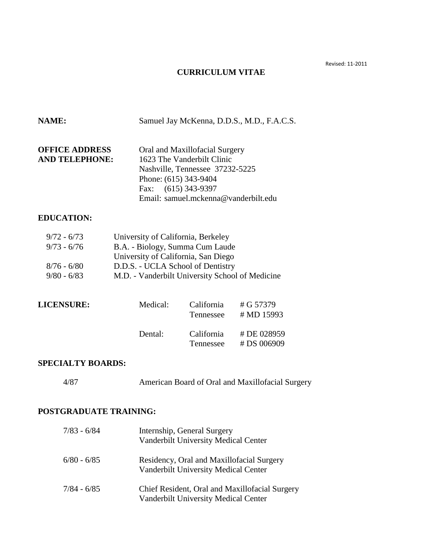Revised: 11-2011

# **CURRICULUM VITAE**

| NAME:                                                            |                                                                                                                                                                                                      |                                                                                                                                         | Samuel Jay McKenna, D.D.S., M.D., F.A.C.S.       |  |
|------------------------------------------------------------------|------------------------------------------------------------------------------------------------------------------------------------------------------------------------------------------------------|-----------------------------------------------------------------------------------------------------------------------------------------|--------------------------------------------------|--|
| <b>OFFICE ADDRESS</b><br><b>AND TELEPHONE:</b>                   | Phone: (615) 343-9404<br>Fax: (615) 343-9397                                                                                                                                                         | Oral and Maxillofacial Surgery<br>1623 The Vanderbilt Clinic<br>Nashville, Tennessee 37232-5225<br>Email: samuel.mckenna@vanderbilt.edu |                                                  |  |
| <b>EDUCATION:</b>                                                |                                                                                                                                                                                                      |                                                                                                                                         |                                                  |  |
| $9/72 - 6/73$<br>$9/73 - 6/76$<br>$8/76 - 6/80$<br>$9/80 - 6/83$ | University of California, Berkeley<br>B.A. - Biology, Summa Cum Laude<br>University of California, San Diego<br>D.D.S. - UCLA School of Dentistry<br>M.D. - Vanderbilt University School of Medicine |                                                                                                                                         |                                                  |  |
| <b>LICENSURE:</b>                                                | Medical:                                                                                                                                                                                             | California<br>Tennessee                                                                                                                 | # G 57379<br># MD 15993                          |  |
|                                                                  | Dental:                                                                                                                                                                                              | California<br>Tennessee                                                                                                                 | # DE 028959<br># DS 006909                       |  |
| <b>SPECIALTY BOARDS:</b>                                         |                                                                                                                                                                                                      |                                                                                                                                         |                                                  |  |
| 4/87                                                             |                                                                                                                                                                                                      |                                                                                                                                         | American Board of Oral and Maxillofacial Surgery |  |
| <b>POSTGRADUATE TRAINING:</b>                                    |                                                                                                                                                                                                      |                                                                                                                                         |                                                  |  |
| $7/83 - 6/84$                                                    |                                                                                                                                                                                                      | Internship, General Surgery<br>Vanderbilt University Medical Center                                                                     |                                                  |  |
| $6/80 - 6/85$                                                    |                                                                                                                                                                                                      | Vanderbilt University Medical Center                                                                                                    | Residency, Oral and Maxillofacial Surgery        |  |
| $7/84 - 6/85$                                                    |                                                                                                                                                                                                      | Vanderbilt University Medical Center                                                                                                    | Chief Resident, Oral and Maxillofacial Surgery   |  |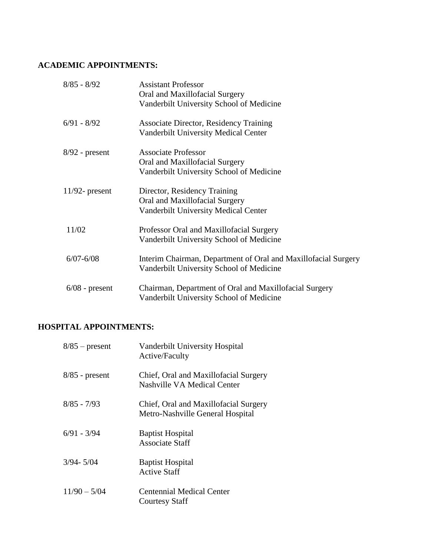## **ACADEMIC APPOINTMENTS:**

| $8/85 - 8/92$     | <b>Assistant Professor</b>                                     |
|-------------------|----------------------------------------------------------------|
|                   | Oral and Maxillofacial Surgery                                 |
|                   | Vanderbilt University School of Medicine                       |
| $6/91 - 8/92$     | <b>Associate Director, Residency Training</b>                  |
|                   | <b>Vanderbilt University Medical Center</b>                    |
| $8/92$ - present  | <b>Associate Professor</b>                                     |
|                   | Oral and Maxillofacial Surgery                                 |
|                   | Vanderbilt University School of Medicine                       |
| $11/92$ - present | Director, Residency Training                                   |
|                   | Oral and Maxillofacial Surgery                                 |
|                   | <b>Vanderbilt University Medical Center</b>                    |
| 11/02             | Professor Oral and Maxillofacial Surgery                       |
|                   | Vanderbilt University School of Medicine                       |
| $6/07 - 6/08$     | Interim Chairman, Department of Oral and Maxillofacial Surgery |
|                   | Vanderbilt University School of Medicine                       |
| $6/08$ - present  | Chairman, Department of Oral and Maxillofacial Surgery         |
|                   | Vanderbilt University School of Medicine                       |

# **HOSPITAL APPOINTMENTS:**

| $8/85$ – present | Vanderbilt University Hospital<br>Active/Faculty                          |
|------------------|---------------------------------------------------------------------------|
| $8/85$ - present | Chief, Oral and Maxillofacial Surgery<br>Nashville VA Medical Center      |
| $8/85 - 7/93$    | Chief, Oral and Maxillofacial Surgery<br>Metro-Nashville General Hospital |
| $6/91 - 3/94$    | <b>Baptist Hospital</b><br><b>Associate Staff</b>                         |
| $3/94 - 5/04$    | <b>Baptist Hospital</b><br><b>Active Staff</b>                            |
| $11/90 - 5/04$   | Centennial Medical Center<br><b>Courtesy Staff</b>                        |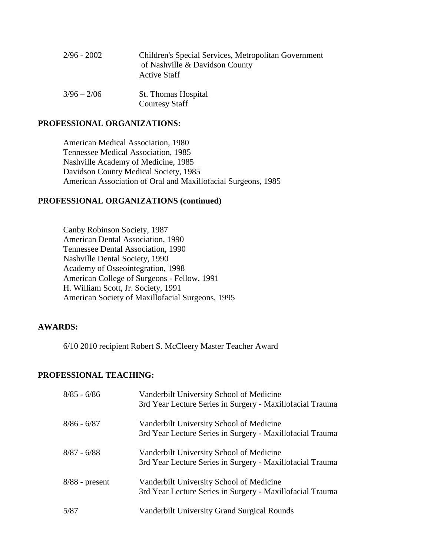| 2/96 - 2002   | Children's Special Services, Metropolitan Government<br>of Nashville & Davidson County<br><b>Active Staff</b> |
|---------------|---------------------------------------------------------------------------------------------------------------|
| $3/96 - 2/06$ | <b>St.</b> Thomas Hospital<br><b>Courtesy Staff</b>                                                           |

#### **PROFESSIONAL ORGANIZATIONS:**

American Medical Association, 1980 Tennessee Medical Association, 1985 Nashville Academy of Medicine, 1985 Davidson County Medical Society, 1985 American Association of Oral and Maxillofacial Surgeons, 1985

#### **PROFESSIONAL ORGANIZATIONS (continued)**

Canby Robinson Society, 1987 American Dental Association, 1990 Tennessee Dental Association, 1990 Nashville Dental Society, 1990 Academy of Osseointegration, 1998 American College of Surgeons - Fellow, 1991 H. William Scott, Jr. Society, 1991 American Society of Maxillofacial Surgeons, 1995

#### **AWARDS:**

6/10 2010 recipient Robert S. McCleery Master Teacher Award

#### **PROFESSIONAL TEACHING:**

| $8/85 - 6/86$    | Vanderbilt University School of Medicine<br>3rd Year Lecture Series in Surgery - Maxillofacial Trauma |
|------------------|-------------------------------------------------------------------------------------------------------|
| $8/86 - 6/87$    | Vanderbilt University School of Medicine<br>3rd Year Lecture Series in Surgery - Maxillofacial Trauma |
| $8/87 - 6/88$    | Vanderbilt University School of Medicine<br>3rd Year Lecture Series in Surgery - Maxillofacial Trauma |
| $8/88$ - present | Vanderbilt University School of Medicine<br>3rd Year Lecture Series in Surgery - Maxillofacial Trauma |
| 5/87             | Vanderbilt University Grand Surgical Rounds                                                           |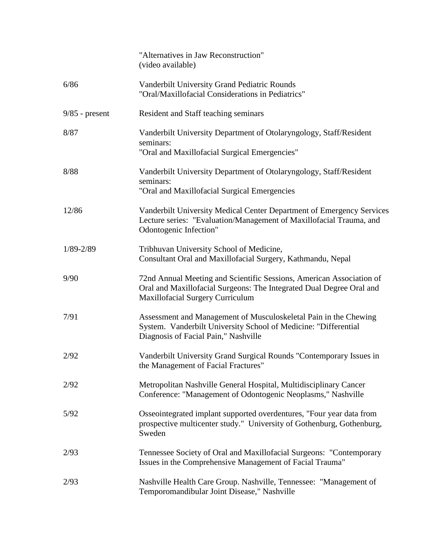|                  | "Alternatives in Jaw Reconstruction"<br>(video available)                                                                                                                               |
|------------------|-----------------------------------------------------------------------------------------------------------------------------------------------------------------------------------------|
| 6/86             | Vanderbilt University Grand Pediatric Rounds<br>"Oral/Maxillofacial Considerations in Pediatrics"                                                                                       |
| $9/85$ - present | Resident and Staff teaching seminars                                                                                                                                                    |
| 8/87             | Vanderbilt University Department of Otolaryngology, Staff/Resident<br>seminars:<br>"Oral and Maxillofacial Surgical Emergencies"                                                        |
| 8/88             | Vanderbilt University Department of Otolaryngology, Staff/Resident<br>seminars:<br>"Oral and Maxillofacial Surgical Emergencies"                                                        |
| 12/86            | Vanderbilt University Medical Center Department of Emergency Services<br>Lecture series: "Evaluation/Management of Maxillofacial Trauma, and<br>Odontogenic Infection"                  |
| $1/89 - 2/89$    | Tribhuvan University School of Medicine,<br>Consultant Oral and Maxillofacial Surgery, Kathmandu, Nepal                                                                                 |
| 9/90             | 72nd Annual Meeting and Scientific Sessions, American Association of<br>Oral and Maxillofacial Surgeons: The Integrated Dual Degree Oral and<br><b>Maxillofacial Surgery Curriculum</b> |
| 7/91             | Assessment and Management of Musculoskeletal Pain in the Chewing<br>System. Vanderbilt University School of Medicine: "Differential<br>Diagnosis of Facial Pain," Nashville             |
| 2/92             | Vanderbilt University Grand Surgical Rounds "Contemporary Issues in<br>the Management of Facial Fractures"                                                                              |
| 2/92             | Metropolitan Nashville General Hospital, Multidisciplinary Cancer<br>Conference: "Management of Odontogenic Neoplasms," Nashville                                                       |
| 5/92             | Osseointegrated implant supported overdentures, "Four year data from<br>prospective multicenter study." University of Gothenburg, Gothenburg,<br>Sweden                                 |
| 2/93             | Tennessee Society of Oral and Maxillofacial Surgeons: "Contemporary<br>Issues in the Comprehensive Management of Facial Trauma"                                                         |
| 2/93             | Nashville Health Care Group. Nashville, Tennessee: "Management of<br>Temporomandibular Joint Disease," Nashville                                                                        |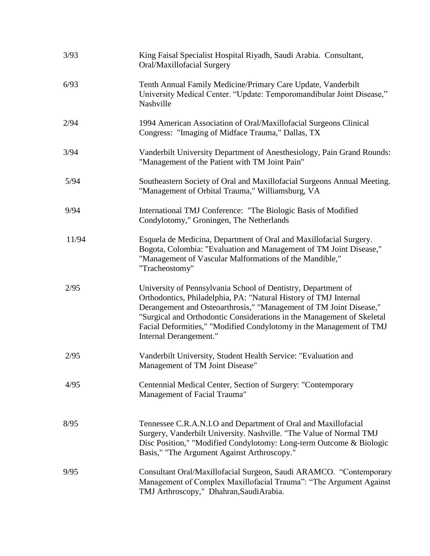| 3/93  | King Faisal Specialist Hospital Riyadh, Saudi Arabia. Consultant,<br>Oral/Maxillofacial Surgery                                                                                                                                                                                                                                                                                    |
|-------|------------------------------------------------------------------------------------------------------------------------------------------------------------------------------------------------------------------------------------------------------------------------------------------------------------------------------------------------------------------------------------|
| 6/93  | Tenth Annual Family Medicine/Primary Care Update, Vanderbilt<br>University Medical Center. "Update: Temporomandibular Joint Disease,"<br>Nashville                                                                                                                                                                                                                                 |
| 2/94  | 1994 American Association of Oral/Maxillofacial Surgeons Clinical<br>Congress: "Imaging of Midface Trauma," Dallas, TX                                                                                                                                                                                                                                                             |
| 3/94  | Vanderbilt University Department of Anesthesiology, Pain Grand Rounds:<br>"Management of the Patient with TM Joint Pain"                                                                                                                                                                                                                                                           |
| 5/94  | Southeastern Society of Oral and Maxillofacial Surgeons Annual Meeting.<br>"Management of Orbital Trauma," Williamsburg, VA                                                                                                                                                                                                                                                        |
| 9/94  | International TMJ Conference: "The Biologic Basis of Modified<br>Condylotomy," Groningen, The Netherlands                                                                                                                                                                                                                                                                          |
| 11/94 | Esquela de Medicina, Department of Oral and Maxillofacial Surgery.<br>Bogota, Colombia: "Evaluation and Management of TM Joint Disease,"<br>"Management of Vascular Malformations of the Mandible,"<br>"Tracheostomy"                                                                                                                                                              |
| 2/95  | University of Pennsylvania School of Dentistry, Department of<br>Orthodontics, Philadelphia, PA: "Natural History of TMJ Internal<br>Derangement and Osteoarthrosis," "Management of TM Joint Disease,"<br>"Surgical and Orthodontic Considerations in the Management of Skeletal<br>Facial Deformities," "Modified Condylotomy in the Management of TMJ<br>Internal Derangement." |
| 2/95  | Vanderbilt University, Student Health Service: "Evaluation and<br>Management of TM Joint Disease"                                                                                                                                                                                                                                                                                  |
| 4/95  | Centennial Medical Center, Section of Surgery: "Contemporary<br>Management of Facial Trauma"                                                                                                                                                                                                                                                                                       |
| 8/95  | Tennessee C.R.A.N.I.O and Department of Oral and Maxillofacial<br>Surgery, Vanderbilt University. Nashville. "The Value of Normal TMJ<br>Disc Position," "Modified Condylotomy: Long-term Outcome & Biologic<br>Basis," "The Argument Against Arthroscopy."                                                                                                                        |
| 9/95  | Consultant Oral/Maxillofacial Surgeon, Saudi ARAMCO. "Contemporary<br>Management of Complex Maxillofacial Trauma": "The Argument Against<br>TMJ Arthroscopy," Dhahran, Saudi Arabia.                                                                                                                                                                                               |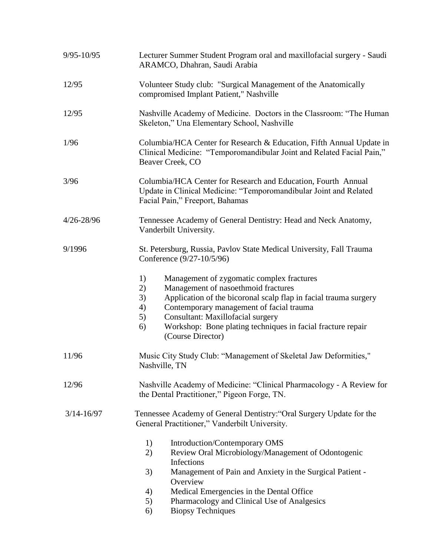| $9/95 - 10/95$ | Lecturer Summer Student Program oral and maxillofacial surgery - Saudi<br>ARAMCO, Dhahran, Saudi Arabia                                                                                                                                                                                                                                                       |
|----------------|---------------------------------------------------------------------------------------------------------------------------------------------------------------------------------------------------------------------------------------------------------------------------------------------------------------------------------------------------------------|
| 12/95          | Volunteer Study club: "Surgical Management of the Anatomically<br>compromised Implant Patient," Nashville                                                                                                                                                                                                                                                     |
| 12/95          | Nashville Academy of Medicine. Doctors in the Classroom: "The Human<br>Skeleton," Una Elementary School, Nashville                                                                                                                                                                                                                                            |
| 1/96           | Columbia/HCA Center for Research & Education, Fifth Annual Update in<br>Clinical Medicine: "Temporomandibular Joint and Related Facial Pain,"<br>Beaver Creek, CO                                                                                                                                                                                             |
| 3/96           | Columbia/HCA Center for Research and Education, Fourth Annual<br>Update in Clinical Medicine: "Temporomandibular Joint and Related<br>Facial Pain," Freeport, Bahamas                                                                                                                                                                                         |
| 4/26-28/96     | Tennessee Academy of General Dentistry: Head and Neck Anatomy,<br>Vanderbilt University.                                                                                                                                                                                                                                                                      |
| 9/1996         | St. Petersburg, Russia, Pavlov State Medical University, Fall Trauma<br>Conference (9/27-10/5/96)                                                                                                                                                                                                                                                             |
|                | 1)<br>Management of zygomatic complex fractures<br>Management of nasoethmoid fractures<br>2)<br>3)<br>Application of the bicoronal scalp flap in facial trauma surgery<br>Contemporary management of facial trauma<br>4)<br>Consultant: Maxillofacial surgery<br>5)<br>Workshop: Bone plating techniques in facial fracture repair<br>6)<br>(Course Director) |
| 11/96          | Music City Study Club: "Management of Skeletal Jaw Deformities,"<br>Nashville, TN                                                                                                                                                                                                                                                                             |
| 12/96          | Nashville Academy of Medicine: "Clinical Pharmacology - A Review for<br>the Dental Practitioner," Pigeon Forge, TN.                                                                                                                                                                                                                                           |
| $3/14 - 16/97$ | Tennessee Academy of General Dentistry: "Oral Surgery Update for the<br>General Practitioner," Vanderbilt University.                                                                                                                                                                                                                                         |
|                | Introduction/Contemporary OMS<br>1)<br>Review Oral Microbiology/Management of Odontogenic<br>2)<br>Infections<br>Management of Pain and Anxiety in the Surgical Patient -<br>3)<br>Overview                                                                                                                                                                   |
|                | Medical Emergencies in the Dental Office<br>4)                                                                                                                                                                                                                                                                                                                |
|                | Pharmacology and Clinical Use of Analgesics<br>5)                                                                                                                                                                                                                                                                                                             |
|                | <b>Biopsy Techniques</b><br>6)                                                                                                                                                                                                                                                                                                                                |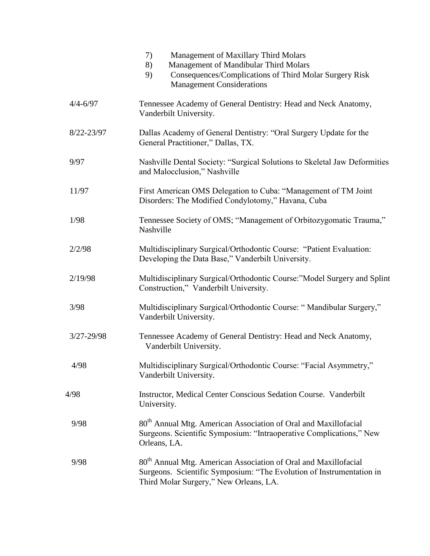|              | Management of Maxillary Third Molars<br>7)<br>Management of Mandibular Third Molars<br>8)<br>Consequences/Complications of Third Molar Surgery Risk<br>9)<br><b>Management Considerations</b> |
|--------------|-----------------------------------------------------------------------------------------------------------------------------------------------------------------------------------------------|
| $4/4 - 6/97$ | Tennessee Academy of General Dentistry: Head and Neck Anatomy,<br>Vanderbilt University.                                                                                                      |
| 8/22-23/97   | Dallas Academy of General Dentistry: "Oral Surgery Update for the<br>General Practitioner," Dallas, TX.                                                                                       |
| 9/97         | Nashville Dental Society: "Surgical Solutions to Skeletal Jaw Deformities<br>and Malocclusion," Nashville                                                                                     |
| 11/97        | First American OMS Delegation to Cuba: "Management of TM Joint<br>Disorders: The Modified Condylotomy," Havana, Cuba                                                                          |
| 1/98         | Tennessee Society of OMS; "Management of Orbitozygomatic Trauma,"<br>Nashville                                                                                                                |
| 2/2/98       | Multidisciplinary Surgical/Orthodontic Course: "Patient Evaluation:<br>Developing the Data Base," Vanderbilt University.                                                                      |
| 2/19/98      | Multidisciplinary Surgical/Orthodontic Course:"Model Surgery and Splint<br>Construction," Vanderbilt University.                                                                              |
| 3/98         | Multidisciplinary Surgical/Orthodontic Course: "Mandibular Surgery,"<br>Vanderbilt University.                                                                                                |
| 3/27-29/98   | Tennessee Academy of General Dentistry: Head and Neck Anatomy,<br>Vanderbilt University.                                                                                                      |
| 4/98         | Multidisciplinary Surgical/Orthodontic Course: "Facial Asymmetry,"<br>Vanderbilt University.                                                                                                  |
| 4/98         | Instructor, Medical Center Conscious Sedation Course. Vanderbilt<br>University.                                                                                                               |
| 9/98         | 80 <sup>th</sup> Annual Mtg. American Association of Oral and Maxillofacial<br>Surgeons. Scientific Symposium: "Intraoperative Complications," New<br>Orleans, LA.                            |
| 9/98         | 80 <sup>th</sup> Annual Mtg. American Association of Oral and Maxillofacial<br>Surgeons. Scientific Symposium: "The Evolution of Instrumentation in<br>Third Molar Surgery," New Orleans, LA. |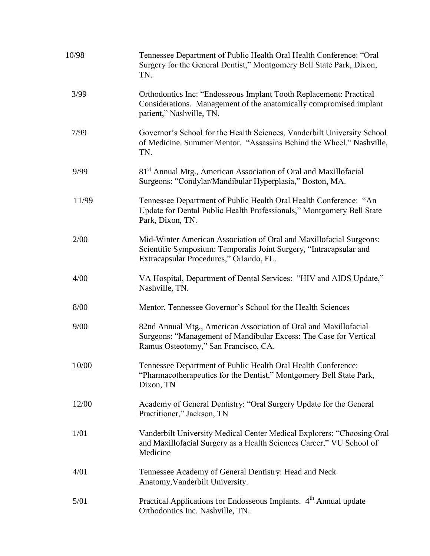| 10/98 | Tennessee Department of Public Health Oral Health Conference: "Oral<br>Surgery for the General Dentist," Montgomery Bell State Park, Dixon,<br>TN.                                   |
|-------|--------------------------------------------------------------------------------------------------------------------------------------------------------------------------------------|
| 3/99  | Orthodontics Inc: "Endosseous Implant Tooth Replacement: Practical<br>Considerations. Management of the anatomically compromised implant<br>patient," Nashville, TN.                 |
| 7/99  | Governor's School for the Health Sciences, Vanderbilt University School<br>of Medicine. Summer Mentor. "Assassins Behind the Wheel." Nashville,<br>TN.                               |
| 9/99  | 81 <sup>st</sup> Annual Mtg., American Association of Oral and Maxillofacial<br>Surgeons: "Condylar/Mandibular Hyperplasia," Boston, MA.                                             |
| 11/99 | Tennessee Department of Public Health Oral Health Conference: "An<br>Update for Dental Public Health Professionals," Montgomery Bell State<br>Park, Dixon, TN.                       |
| 2/00  | Mid-Winter American Association of Oral and Maxillofacial Surgeons:<br>Scientific Symposium: Temporalis Joint Surgery, "Intracapsular and<br>Extracapsular Procedures," Orlando, FL. |
| 4/00  | VA Hospital, Department of Dental Services: "HIV and AIDS Update,"<br>Nashville, TN.                                                                                                 |
| 8/00  | Mentor, Tennessee Governor's School for the Health Sciences                                                                                                                          |
| 9/00  | 82nd Annual Mtg., American Association of Oral and Maxillofacial<br>Surgeons: "Management of Mandibular Excess: The Case for Vertical<br>Ramus Osteotomy," San Francisco, CA.        |
| 10/00 | Tennessee Department of Public Health Oral Health Conference:<br>"Pharmacotherapeutics for the Dentist," Montgomery Bell State Park,<br>Dixon, TN                                    |
| 12/00 | Academy of General Dentistry: "Oral Surgery Update for the General<br>Practitioner," Jackson, TN                                                                                     |
| 1/01  | Vanderbilt University Medical Center Medical Explorers: "Choosing Oral<br>and Maxillofacial Surgery as a Health Sciences Career," VU School of<br>Medicine                           |
| 4/01  | Tennessee Academy of General Dentistry: Head and Neck<br>Anatomy, Vanderbilt University.                                                                                             |
| 5/01  | Practical Applications for Endosseous Implants. 4 <sup>th</sup> Annual update<br>Orthodontics Inc. Nashville, TN.                                                                    |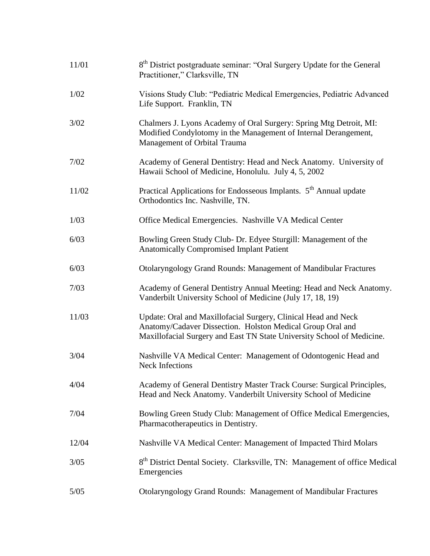| 11/01 | 8 <sup>th</sup> District postgraduate seminar: "Oral Surgery Update for the General<br>Practitioner," Clarksville, TN                                                                                  |
|-------|--------------------------------------------------------------------------------------------------------------------------------------------------------------------------------------------------------|
| 1/02  | Visions Study Club: "Pediatric Medical Emergencies, Pediatric Advanced<br>Life Support. Franklin, TN                                                                                                   |
| 3/02  | Chalmers J. Lyons Academy of Oral Surgery: Spring Mtg Detroit, MI:<br>Modified Condylotomy in the Management of Internal Derangement,<br>Management of Orbital Trauma                                  |
| 7/02  | Academy of General Dentistry: Head and Neck Anatomy. University of<br>Hawaii School of Medicine, Honolulu. July 4, 5, 2002                                                                             |
| 11/02 | Practical Applications for Endosseous Implants. 5 <sup>th</sup> Annual update<br>Orthodontics Inc. Nashville, TN.                                                                                      |
| 1/03  | Office Medical Emergencies. Nashville VA Medical Center                                                                                                                                                |
| 6/03  | Bowling Green Study Club- Dr. Edyee Sturgill: Management of the<br><b>Anatomically Compromised Implant Patient</b>                                                                                     |
| 6/03  | Otolaryngology Grand Rounds: Management of Mandibular Fractures                                                                                                                                        |
| 7/03  | Academy of General Dentistry Annual Meeting: Head and Neck Anatomy.<br>Vanderbilt University School of Medicine (July 17, 18, 19)                                                                      |
| 11/03 | Update: Oral and Maxillofacial Surgery, Clinical Head and Neck<br>Anatomy/Cadaver Dissection. Holston Medical Group Oral and<br>Maxillofacial Surgery and East TN State University School of Medicine. |
| 3/04  | Nashville VA Medical Center: Management of Odontogenic Head and<br><b>Neck Infections</b>                                                                                                              |
| 4/04  | Academy of General Dentistry Master Track Course: Surgical Principles,<br>Head and Neck Anatomy. Vanderbilt University School of Medicine                                                              |
| 7/04  | Bowling Green Study Club: Management of Office Medical Emergencies,<br>Pharmacotherapeutics in Dentistry.                                                                                              |
| 12/04 | Nashville VA Medical Center: Management of Impacted Third Molars                                                                                                                                       |
| 3/05  | 8 <sup>th</sup> District Dental Society. Clarksville, TN: Management of office Medical<br>Emergencies                                                                                                  |
| 5/05  | Otolaryngology Grand Rounds: Management of Mandibular Fractures                                                                                                                                        |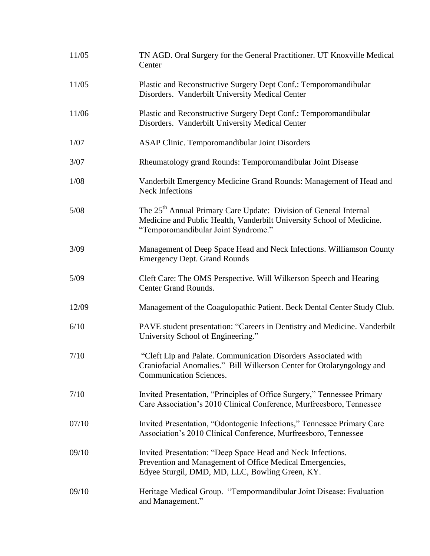| 11/05 | TN AGD. Oral Surgery for the General Practitioner. UT Knoxville Medical<br>Center                                                                                                             |
|-------|-----------------------------------------------------------------------------------------------------------------------------------------------------------------------------------------------|
| 11/05 | Plastic and Reconstructive Surgery Dept Conf.: Temporomandibular<br>Disorders. Vanderbilt University Medical Center                                                                           |
| 11/06 | Plastic and Reconstructive Surgery Dept Conf.: Temporomandibular<br>Disorders. Vanderbilt University Medical Center                                                                           |
| 1/07  | ASAP Clinic. Temporomandibular Joint Disorders                                                                                                                                                |
| 3/07  | Rheumatology grand Rounds: Temporomandibular Joint Disease                                                                                                                                    |
| 1/08  | Vanderbilt Emergency Medicine Grand Rounds: Management of Head and<br><b>Neck Infections</b>                                                                                                  |
| 5/08  | The 25 <sup>th</sup> Annual Primary Care Update: Division of General Internal<br>Medicine and Public Health, Vanderbilt University School of Medicine.<br>"Temporomandibular Joint Syndrome." |
| 3/09  | Management of Deep Space Head and Neck Infections. Williamson County<br><b>Emergency Dept. Grand Rounds</b>                                                                                   |
| 5/09  | Cleft Care: The OMS Perspective. Will Wilkerson Speech and Hearing<br>Center Grand Rounds.                                                                                                    |
| 12/09 | Management of the Coagulopathic Patient. Beck Dental Center Study Club.                                                                                                                       |
| 6/10  | PAVE student presentation: "Careers in Dentistry and Medicine. Vanderbilt<br>University School of Engineering."                                                                               |
| 7/10  | "Cleft Lip and Palate. Communication Disorders Associated with<br>Craniofacial Anomalies." Bill Wilkerson Center for Otolaryngology and<br><b>Communication Sciences.</b>                     |
| 7/10  | Invited Presentation, "Principles of Office Surgery," Tennessee Primary<br>Care Association's 2010 Clinical Conference, Murfreesboro, Tennessee                                               |
| 07/10 | Invited Presentation, "Odontogenic Infections," Tennessee Primary Care<br>Association's 2010 Clinical Conference, Murfreesboro, Tennessee                                                     |
| 09/10 | Invited Presentation: "Deep Space Head and Neck Infections.<br>Prevention and Management of Office Medical Emergencies,<br>Edyee Sturgil, DMD, MD, LLC, Bowling Green, KY.                    |
| 09/10 | Heritage Medical Group. "Tempormandibular Joint Disease: Evaluation<br>and Management."                                                                                                       |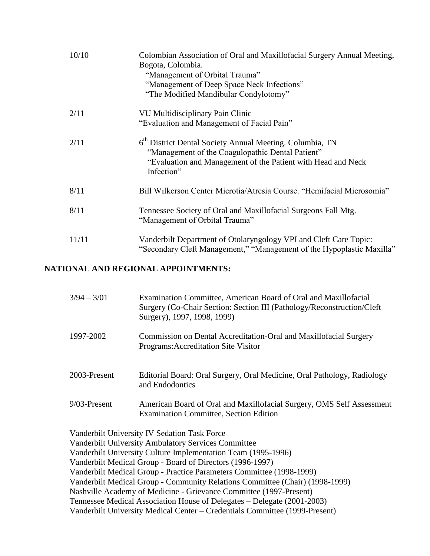| 10/10 | Colombian Association of Oral and Maxillofacial Surgery Annual Meeting,<br>Bogota, Colombia.<br>"Management of Orbital Trauma"<br>"Management of Deep Space Neck Infections"<br>"The Modified Mandibular Condylotomy" |
|-------|-----------------------------------------------------------------------------------------------------------------------------------------------------------------------------------------------------------------------|
| 2/11  | VU Multidisciplinary Pain Clinic<br>"Evaluation and Management of Facial Pain"                                                                                                                                        |
| 2/11  | 6 <sup>th</sup> District Dental Society Annual Meeting. Columbia, TN<br>"Management of the Coagulopathic Dental Patient"<br>"Evaluation and Management of the Patient with Head and Neck"<br>Infection"               |
| 8/11  | Bill Wilkerson Center Microtia/Atresia Course. "Hemifacial Microsomia"                                                                                                                                                |
| 8/11  | Tennessee Society of Oral and Maxillofacial Surgeons Fall Mtg.<br>"Management of Orbital Trauma"                                                                                                                      |
| 11/11 | Vanderbilt Department of Otolaryngology VPI and Cleft Care Topic:<br>"Secondary Cleft Management," "Management of the Hypoplastic Maxilla"                                                                            |

## **NATIONAL AND REGIONAL APPOINTMENTS:**

| $3/94 - 3/01$             | Examination Committee, American Board of Oral and Maxillofacial<br>Surgery (Co-Chair Section: Section III (Pathology/Reconstruction/Cleft)<br>Surgery), 1997, 1998, 1999) |
|---------------------------|---------------------------------------------------------------------------------------------------------------------------------------------------------------------------|
| 1997-2002                 | Commission on Dental Accreditation-Oral and Maxillofacial Surgery<br>Programs: Accreditation Site Visitor                                                                 |
| 2003-Present              | Editorial Board: Oral Surgery, Oral Medicine, Oral Pathology, Radiology<br>and Endodontics                                                                                |
| 9/03-Present              | American Board of Oral and Maxillofacial Surgery, OMS Self Assessment<br>Examination Committee, Section Edition                                                           |
| $\mathbf{v}$ $\mathbf{v}$ | Vanderbilt University IV Sedation Task Force<br><b>Vanderbilt University Ambulatory Services Committee</b>                                                                |

Vanderbilt University Culture Implementation Team (1995-1996) Vanderbilt Medical Group - Board of Directors (1996-1997) Vanderbilt Medical Group - Practice Parameters Committee (1998-1999) Vanderbilt Medical Group - Community Relations Committee (Chair) (1998-1999) Nashville Academy of Medicine - Grievance Committee (1997-Present) Tennessee Medical Association House of Delegates – Delegate (2001-2003) Vanderbilt University Medical Center – Credentials Committee (1999-Present)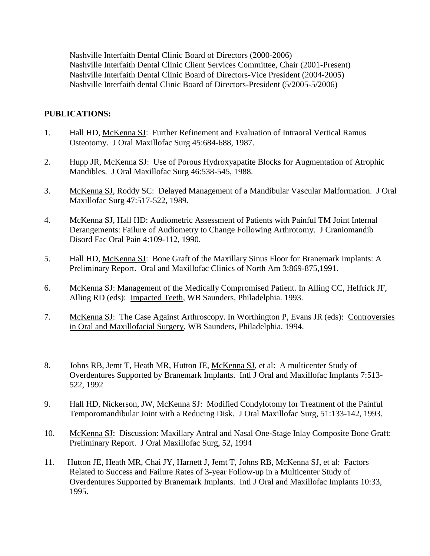Nashville Interfaith Dental Clinic Board of Directors (2000-2006) Nashville Interfaith Dental Clinic Client Services Committee, Chair (2001-Present) Nashville Interfaith Dental Clinic Board of Directors-Vice President (2004-2005) Nashville Interfaith dental Clinic Board of Directors-President (5/2005-5/2006)

### **PUBLICATIONS:**

- 1. Hall HD, McKenna SJ: Further Refinement and Evaluation of Intraoral Vertical Ramus Osteotomy. J Oral Maxillofac Surg 45:684-688, 1987.
- 2. Hupp JR, McKenna SJ: Use of Porous Hydroxyapatite Blocks for Augmentation of Atrophic Mandibles. J Oral Maxillofac Surg 46:538-545, 1988.
- 3. McKenna SJ, Roddy SC: Delayed Management of a Mandibular Vascular Malformation. J Oral Maxillofac Surg 47:517-522, 1989.
- 4. McKenna SJ, Hall HD: Audiometric Assessment of Patients with Painful TM Joint Internal Derangements: Failure of Audiometry to Change Following Arthrotomy. J Craniomandib Disord Fac Oral Pain 4:109-112, 1990.
- 5. Hall HD, McKenna SJ: Bone Graft of the Maxillary Sinus Floor for Branemark Implants: A Preliminary Report. Oral and Maxillofac Clinics of North Am 3:869-875,1991.
- 6. McKenna SJ: Management of the Medically Compromised Patient. In Alling CC, Helfrick JF, Alling RD (eds): Impacted Teeth, WB Saunders, Philadelphia. 1993.
- 7. McKenna SJ: The Case Against Arthroscopy. In Worthington P, Evans JR (eds): Controversies in Oral and Maxillofacial Surgery, WB Saunders, Philadelphia. 1994.
- 8. Johns RB, Jemt T, Heath MR, Hutton JE, McKenna SJ, et al: A multicenter Study of Overdentures Supported by Branemark Implants. Intl J Oral and Maxillofac Implants 7:513- 522, 1992
- 9. Hall HD, Nickerson, JW, McKenna SJ: Modified Condylotomy for Treatment of the Painful Temporomandibular Joint with a Reducing Disk. J Oral Maxillofac Surg, 51:133-142, 1993.
- 10. McKenna SJ: Discussion: Maxillary Antral and Nasal One-Stage Inlay Composite Bone Graft: Preliminary Report. J Oral Maxillofac Surg, 52, 1994
- 11. Hutton JE, Heath MR, Chai JY, Harnett J, Jemt T, Johns RB, McKenna SJ, et al: Factors Related to Success and Failure Rates of 3-year Follow-up in a Multicenter Study of Overdentures Supported by Branemark Implants. Intl J Oral and Maxillofac Implants 10:33, 1995.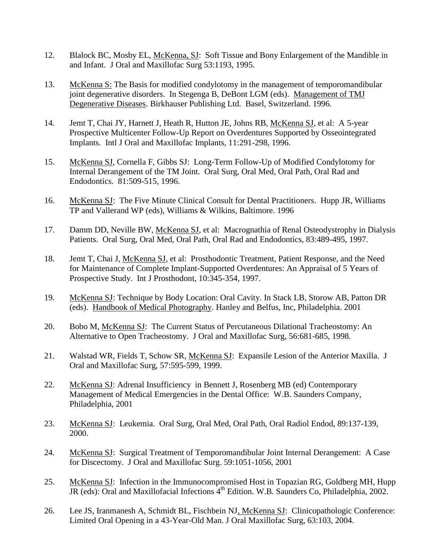- 12. Blalock BC, Mosby EL, McKenna, SJ: Soft Tissue and Bony Enlargement of the Mandible in and Infant. J Oral and Maxillofac Surg 53:1193, 1995.
- 13. McKenna S: The Basis for modified condylotomy in the management of temporomandibular joint degenerative disorders. In Stegenga B, DeBont LGM (eds). Management of TMJ Degenerative Diseases. Birkhauser Publishing Ltd. Basel, Switzerland. 1996.
- 14. Jemt T, Chai JY, Harnett J, Heath R, Hutton JE, Johns RB, McKenna SJ, et al: A 5-year Prospective Multicenter Follow-Up Report on Overdentures Supported by Osseointegrated Implants. Intl J Oral and Maxillofac Implants, 11:291-298, 1996.
- 15. McKenna SJ, Cornella F, Gibbs SJ: Long-Term Follow-Up of Modified Condylotomy for Internal Derangement of the TM Joint. Oral Surg, Oral Med, Oral Path, Oral Rad and Endodontics. 81:509-515, 1996.
- 16. McKenna SJ: The Five Minute Clinical Consult for Dental Practitioners. Hupp JR, Williams TP and Vallerand WP (eds), Williams & Wilkins, Baltimore. 1996
- 17. Damm DD, Neville BW, McKenna SJ, et al: Macrognathia of Renal Osteodystrophy in Dialysis Patients. Oral Surg, Oral Med, Oral Path, Oral Rad and Endodontics, 83:489-495, 1997.
- 18. Jemt T, Chai J, McKenna SJ, et al: Prosthodontic Treatment, Patient Response, and the Need for Maintenance of Complete Implant-Supported Overdentures: An Appraisal of 5 Years of Prospective Study. Int J Prosthodont, 10:345-354, 1997.
- 19. McKenna SJ: Technique by Body Location: Oral Cavity. In Stack LB, Storow AB, Patton DR (eds). Handbook of Medical Photography. Hanley and Belfus, Inc, Philadelphia. 2001
- 20. Bobo M, McKenna SJ: The Current Status of Percutaneous Dilational Tracheostomy: An Alternative to Open Tracheostomy. J Oral and Maxillofac Surg, 56:681-685, 1998.
- 21. Walstad WR, Fields T, Schow SR, McKenna SJ: Expansile Lesion of the Anterior Maxilla. J Oral and Maxillofac Surg, 57:595-599, 1999.
- 22. McKenna SJ: Adrenal Insufficiency in Bennett J, Rosenberg MB (ed) Contemporary Management of Medical Emergencies in the Dental Office: W.B. Saunders Company, Philadelphia, 2001
- 23. McKenna SJ: Leukemia. Oral Surg, Oral Med, Oral Path, Oral Radiol Endod, 89:137-139, 2000.
- 24. McKenna SJ: Surgical Treatment of Temporomandibular Joint Internal Derangement: A Case for Discectomy. J Oral and Maxillofac Surg. 59:1051-1056, 2001
- 25. McKenna SJ: Infection in the Immunocompromised Host in Topazian RG, Goldberg MH, Hupp JR (eds): Oral and Maxillofacial Infections 4<sup>th</sup> Edition. W.B. Saunders Co, Philadelphia, 2002.
- 26. Lee JS, Iranmanesh A, Schmidt BL, Fischbein NJ, McKenna SJ: Clinicopathologic Conference: Limited Oral Opening in a 43-Year-Old Man. J Oral Maxillofac Surg, 63:103, 2004.